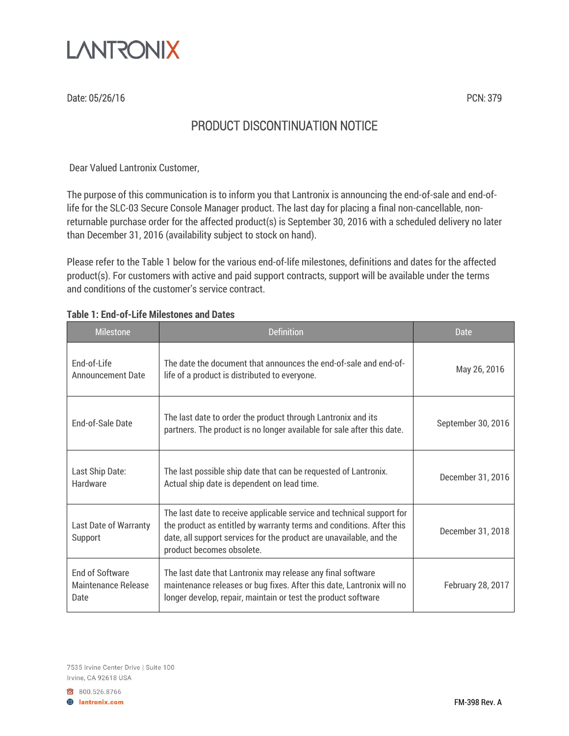

Date: 05/26/16 PCN: 379

## PRODUCT DISCONTINUATION NOTICE

Dear Valued Lantronix Customer,

The purpose of this communication is to inform you that Lantronix is announcing the end-of-sale and end-oflife for the SLC-03 Secure Console Manager product. The last day for placing a final non-cancellable, nonreturnable purchase order for the affected product(s) is September 30, 2016 with a scheduled delivery no later than December 31, 2016 (availability subject to stock on hand).

Please refer to the Table 1 below for the various end-of-life milestones, definitions and dates for the affected product(s). For customers with active and paid support contracts, support will be available under the terms and conditions of the customer's service contract.

| <b>Milestone</b>                                      | <b>Definition</b>                                                                                                                                                                                                                                 | Date               |
|-------------------------------------------------------|---------------------------------------------------------------------------------------------------------------------------------------------------------------------------------------------------------------------------------------------------|--------------------|
| End-of-Life<br><b>Announcement Date</b>               | The date the document that announces the end-of-sale and end-of-<br>life of a product is distributed to everyone.                                                                                                                                 | May 26, 2016       |
| <b>End-of-Sale Date</b>                               | The last date to order the product through Lantronix and its<br>partners. The product is no longer available for sale after this date.                                                                                                            | September 30, 2016 |
| Last Ship Date:<br><b>Hardware</b>                    | The last possible ship date that can be requested of Lantronix.<br>Actual ship date is dependent on lead time.                                                                                                                                    | December 31, 2016  |
| <b>Last Date of Warranty</b><br>Support               | The last date to receive applicable service and technical support for<br>the product as entitled by warranty terms and conditions. After this<br>date, all support services for the product are unavailable, and the<br>product becomes obsolete. | December 31, 2018  |
| <b>End of Software</b><br>Maintenance Release<br>Date | The last date that Lantronix may release any final software<br>maintenance releases or bug fixes. After this date, Lantronix will no<br>longer develop, repair, maintain or test the product software                                             | February 28, 2017  |

## **Table 1: End-of-Life Milestones and Dates**

7535 Irvine Center Drive | Suite 100 Irvine, CA 92618 USA

800.526.8766 **B** lantronix.com